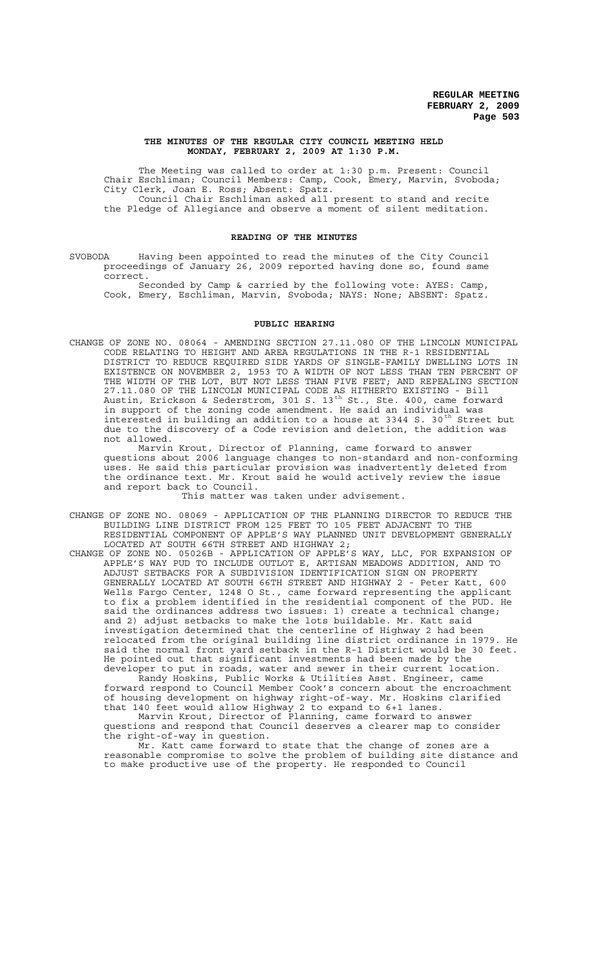### **THE MINUTES OF THE REGULAR CITY COUNCIL MEETING HELD MONDAY, FEBRUARY 2, 2009 AT 1:30 P.M.**

The Meeting was called to order at 1:30 p.m. Present: Council Chair Eschliman; Council Members: Camp, Cook, Emery, Marvin, Svoboda; City Clerk, Joan E. Ross; Absent: Spatz. Council Chair Eschliman asked all present to stand and recite the Pledge of Allegiance and observe a moment of silent meditation.

### **READING OF THE MINUTES**

SVOBODA Having been appointed to read the minutes of the City Council proceedings of January 26, 2009 reported having done so, found same correct.

Seconded by Camp & carried by the following vote: AYES: Camp, Cook, Emery, Eschliman, Marvin, Svoboda; NAYS: None; ABSENT: Spatz.

### **PUBLIC HEARING**

CHANGE OF ZONE NO. 08064 - AMENDING SECTION 27.11.080 OF THE LINCOLN MUNICIPAL CODE RELATING TO HEIGHT AND AREA REGULATIONS IN THE R-1 RESIDENTIAL DISTRICT TO REDUCE REQUIRED SIDE YARDS OF SINGLE-FAMILY DWELLING LOTS IN EXISTENCE ON NOVEMBER 2, 1953 TO A WIDTH OF NOT LESS THAN TEN PERCENT OF THE WIDTH OF THE LOT, BUT NOT LESS THAN FIVE FEET; AND REPEALING SECTION 27.11.080 OF THE LINCOLN MUNICIPAL CODE AS HITHERTO EXISTING - Bill Austin, Erickson & Sederstrom, 301 S. 13<sup>th</sup> St., Ste. 400, came forward in support of the zoning code amendment. He said an individual was interested in building an addition to a house at 3344 S. 30<sup>th</sup> Street but due to the discovery of a Code revision and deletion, the addition was not allowed.

Marvin Krout, Director of Planning, came forward to answer questions about 2006 language changes to non-standard and non-conforming uses. He said this particular provision was inadvertently deleted from the ordinance text. Mr. Krout said he would actively review the issue and report back to Council.

This matter was taken under advisement.

- CHANGE OF ZONE NO. 08069 APPLICATION OF THE PLANNING DIRECTOR TO REDUCE THE BUILDING LINE DISTRICT FROM 125 FEET TO 105 FEET ADJACENT TO THE RESIDENTIAL COMPONENT OF APPLE'S WAY PLANNED UNIT DEVELOPMENT GENERALLY LOCATED AT SOUTH 66TH STREET AND HIGHWAY 2;
- CHANGE OF ZONE NO. 05026B APPLICATION OF APPLE'S WAY, LLC, FOR EXPANSION OF APPLE'S WAY PUD TO INCLUDE OUTLOT E, ARTISAN MEADOWS ADDITION, AND TO ADJUST SETBACKS FOR A SUBDIVISION IDENTIFICATION SIGN ON PROPERTY GENERALLY LOCATED AT SOUTH 66TH STREET AND HIGHWAY 2 - Peter Katt, 600 Wells Fargo Center, 1248 O St., came forward representing the applicant to fix a problem identified in the residential component of the PUD. He said the ordinances address two issues: 1) create a technical change; and 2) adjust setbacks to make the lots buildable. Mr. Katt said investigation determined that the centerline of Highway 2 had been relocated from the original building line district ordinance in 1979. He said the normal front yard setback in the R-1 District would be 30 feet. He pointed out that significant investments had been made by the developer to put in roads, water and sewer in their current location.

Randy Hoskins, Public Works & Utilities Asst. Engineer, came forward respond to Council Member Cook's concern about the encroachment of housing development on highway right-of-way. Mr. Hoskins clarified that 140 feet would allow Highway 2 to expand to 6+1 lanes.

Marvin Krout, Director of Planning, came forward to answer questions and respond that Council deserves a clearer map to consider the right-of-way in question.

Mr. Katt came forward to state that the change of zones are a reasonable compromise to solve the problem of building site distance and to make productive use of the property. He responded to Council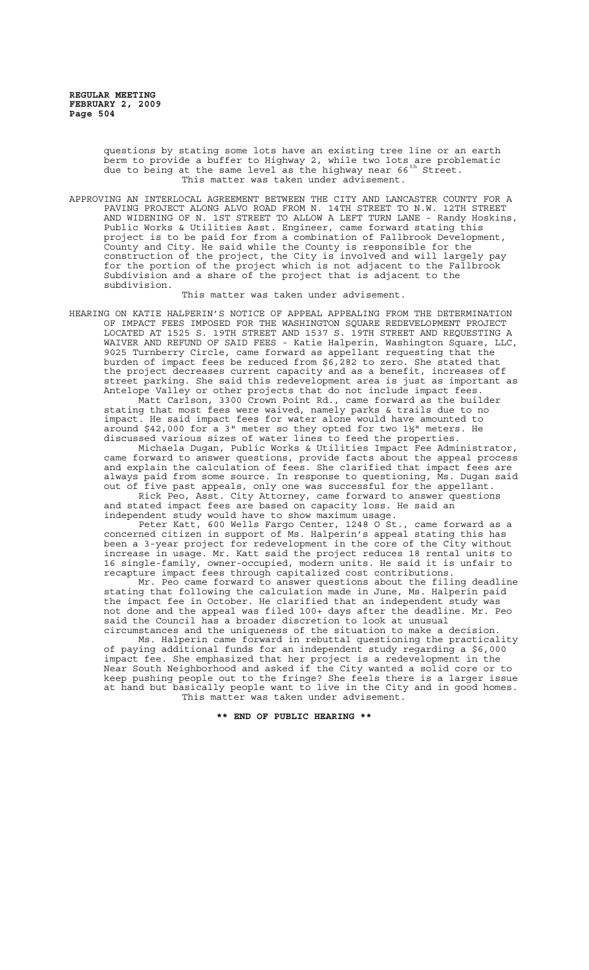questions by stating some lots have an existing tree line or an earth berm to provide a buffer to Highway 2, while two lots are problematic due to being at the same level as the highway near 66<sup>th</sup> Street. This matter was taken under advisement.

APPROVING AN INTERLOCAL AGREEMENT BETWEEN THE CITY AND LANCASTER COUNTY FOR A PAVING PROJECT ALONG ALVO ROAD FROM N. 14TH STREET TO N.W. 12TH STREET AND WIDENING OF N. 1ST STREET TO ALLOW A LEFT TURN LANE - Randy Hoskins, Public Works & Utilities Asst. Engineer, came forward stating this project is to be paid for from a combination of Fallbrook Development, County and City. He said while the County is responsible for the construction of the project, the City is involved and will largely pay for the portion of the project which is not adjacent to the Fallbrook Subdivision and a share of the project that is adjacent to the subdivision.

This matter was taken under advisement.

HEARING ON KATIE HALPERIN'S NOTICE OF APPEAL APPEALING FROM THE DETERMINATION OF IMPACT FEES IMPOSED FOR THE WASHINGTON SQUARE REDEVELOPMENT PROJECT LOCATED AT 1525 S. 19TH STREET AND 1537 S. 19TH STREET AND REQUESTING A WAIVER AND REFUND OF SAID FEES - Katie Halperin, Washington Square, LLC, 9025 Turnberry Circle, came forward as appellant requesting that the burden of impact fees be reduced from \$6,282 to zero. She stated that the project decreases current capacity and as a benefit, increases off street parking. She said this redevelopment area is just as important as Antelope Valley or other projects that do not include impact fees.

Matt Carlson, 3300 Crown Point Rd., came forward as the builder stating that most fees were waived, namely parks & trails due to no impact. He said impact fees for water alone would have amounted to around \$42,000 for a 3" meter so they opted for two 1½" meters. He discussed various sizes of water lines to feed the properties.

Michaela Dugan, Public Works & Utilities Impact Fee Administrator, came forward to answer questions, provide facts about the appeal process and explain the calculation of fees. She clarified that impact fees are always paid from some source. In response to questioning, Ms. Dugan said out of five past appeals, only one was successful for the appellant.

Rick Peo, Asst. City Attorney, came forward to answer questions and stated impact fees are based on capacity loss. He said an independent study would have to show maximum usage.

Peter Katt, 600 Wells Fargo Center, 1248 O St., came forward as a concerned citizen in support of Ms. Halperin's appeal stating this has been a 3-year project for redevelopment in the core of the City without increase in usage. Mr. Katt said the project reduces 18 rental units to 16 single-family, owner-occupied, modern units. He said it is unfair to recapture impact fees through capitalized cost contributions.

Mr. Peo came forward to answer questions about the filing deadline stating that following the calculation made in June, Ms. Halperin paid the impact fee in October. He clarified that an independent study was not done and the appeal was filed 100+ days after the deadline. Mr. Peo said the Council has a broader discretion to look at unusual circumstances and the uniqueness of the situation to make a decision.

Ms. Halperin came forward in rebuttal questioning the practicality of paying additional funds for an independent study regarding a \$6,000 impact fee. She emphasized that her project is a redevelopment in the Near South Neighborhood and asked if the City wanted a solid core or to keep pushing people out to the fringe? She feels there is a larger issue at hand but basically people want to live in the City and in good homes. This matter was taken under advisement.

**\*\* END OF PUBLIC HEARING \*\***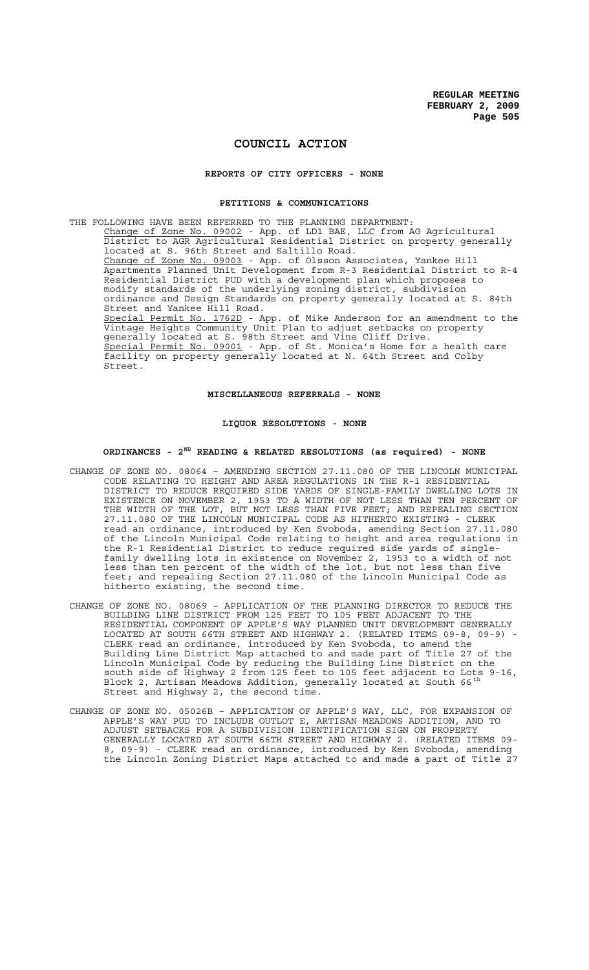## **COUNCIL ACTION**

#### **REPORTS OF CITY OFFICERS - NONE**

### **PETITIONS & COMMUNICATIONS**

THE FOLLOWING HAVE BEEN REFERRED TO THE PLANNING DEPARTMENT: Change of Zone No. 09002 - App. of LD1 BAE, LLC from AG Agricultural District to AGR Agricultural Residential District on property generally located at S. 96th Street and Saltillo Road. Change of Zone No. 09003 - App. of Olsson Associates, Yankee Hill Apartments Planned Unit Development from R-3 Residential District to R-4 Residential District PUD with a development plan which proposes to modify standards of the underlying zoning district, subdivision ordinance and Design Standards on property generally located at S. 84th Street and Yankee Hill Road. Special Permit No. 1762D - App. of Mike Anderson for an amendment to the Vintage Heights Community Unit Plan to adjust setbacks on property generally located at S. 98th Street and Vine Cliff Drive. Special Permit No. 09001 - App. of St. Monica's Home for a health care facility on property generally located at N. 64th Street and Colby Street.

### **MISCELLANEOUS REFERRALS - NONE**

### **LIQUOR RESOLUTIONS - NONE**

## **ORDINANCES - 2ND READING & RELATED RESOLUTIONS (as required) - NONE**

- CHANGE OF ZONE NO. 08064 AMENDING SECTION 27.11.080 OF THE LINCOLN MUNICIPAL CODE RELATING TO HEIGHT AND AREA REGULATIONS IN THE R-1 RESIDENTIAL DISTRICT TO REDUCE REQUIRED SIDE YARDS OF SINGLE-FAMILY DWELLING LOTS IN EXISTENCE ON NOVEMBER 2, 1953 TO A WIDTH OF NOT LESS THAN TEN PERCENT OF THE WIDTH OF THE LOT, BUT NOT LESS THAN FIVE FEET; AND REPEALING SECTION 27.11.080 OF THE LINCOLN MUNICIPAL CODE AS HITHERTO EXISTING - CLERK read an ordinance, introduced by Ken Svoboda, amending Section 27.11.080 of the Lincoln Municipal Code relating to height and area regulations in the R-1 Residential District to reduce required side yards of singlefamily dwelling lots in existence on November 2, 1953 to a width of not less than ten percent of the width of the lot, but not less than five feet; and repealing Section 27.11.080 of the Lincoln Municipal Code as hitherto existing, the second time.
- CHANGE OF ZONE NO. 08069 APPLICATION OF THE PLANNING DIRECTOR TO REDUCE THE BUILDING LINE DISTRICT FROM 125 FEET TO 105 FEET ADJACENT TO THE RESIDENTIAL COMPONENT OF APPLE'S WAY PLANNED UNIT DEVELOPMENT GENERALLY LOCATED AT SOUTH 66TH STREET AND HIGHWAY 2. (RELATED ITEMS 09-8, 09-9) - CLERK read an ordinance, introduced by Ken Svoboda, to amend the Building Line District Map attached to and made part of Title 27 of the Lincoln Municipal Code by reducing the Building Line District on the south side of Highway 2 from 125 feet to 105 feet adjacent to Lots 9-16, Block 2, Artisan Meadows Addition, generally located at South 66<sup>th</sup> Street and Highway 2, the second time.
- CHANGE OF ZONE NO. 05026B APPLICATION OF APPLE'S WAY, LLC, FOR EXPANSION OF APPLE'S WAY PUD TO INCLUDE OUTLOT E, ARTISAN MEADOWS ADDITION, AND TO ADJUST SETBACKS FOR A SUBDIVISION IDENTIFICATION SIGN ON PROPERTY GENERALLY LOCATED AT SOUTH 66TH STREET AND HIGHWAY 2. (RELATED ITEMS 09- 8, 09-9) - CLERK read an ordinance, introduced by Ken Svoboda, amending the Lincoln Zoning District Maps attached to and made a part of Title 27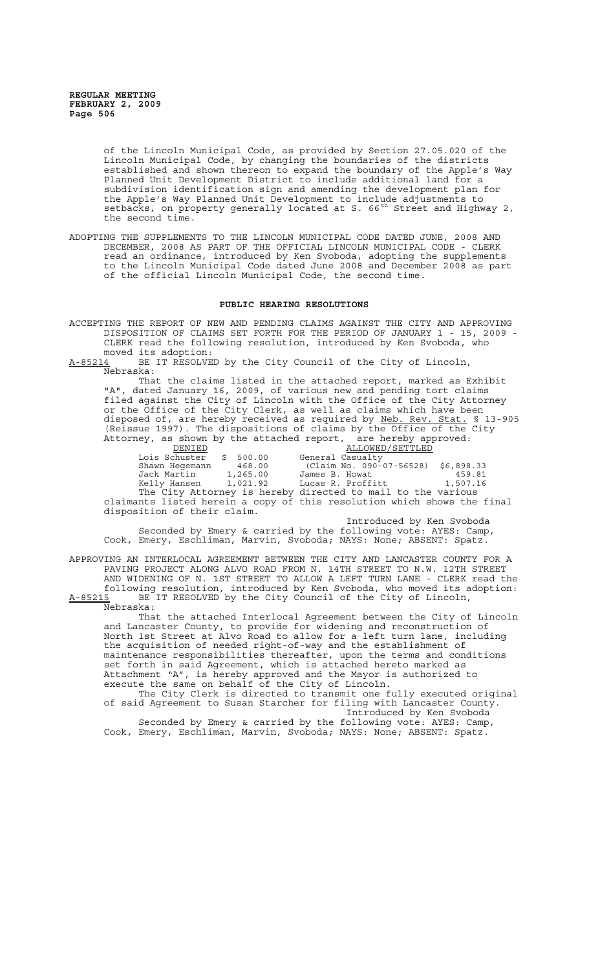of the Lincoln Municipal Code, as provided by Section 27.05.020 of the Lincoln Municipal Code, by changing the boundaries of the districts established and shown thereon to expand the boundary of the Apple's Way Planned Unit Development District to include additional land for a subdivision identification sign and amending the development plan for the Apple's Way Planned Unit Development to include adjustments to setbacks, on property generally located at S. 66<sup>th</sup> Street and Highway 2, the second time.

ADOPTING THE SUPPLEMENTS TO THE LINCOLN MUNICIPAL CODE DATED JUNE, 2008 AND DECEMBER, 2008 AS PART OF THE OFFICIAL LINCOLN MUNICIPAL CODE - CLERK read an ordinance, introduced by Ken Svoboda, adopting the supplements to the Lincoln Municipal Code dated June 2008 and December 2008 as part of the official Lincoln Municipal Code, the second time.

### **PUBLIC HEARING RESOLUTIONS**

ACCEPTING THE REPORT OF NEW AND PENDING CLAIMS AGAINST THE CITY AND APPROVING DISPOSITION OF CLAIMS SET FORTH FOR THE PERIOD OF JANUARY 1 - 15, 2009 - CLERK read the following resolution, introduced by Ken Svoboda, who moved its adoption:

A-85214 BE IT RESOLVED by the City Council of the City of Lincoln, Nebraska:

That the claims listed in the attached report, marked as Exhibit "A", dated January 16, 2009, of various new and pending tort claims filed against the City of Lincoln with the Office of the City Attorney or the Office of the City Clerk, as well as claims which have been disposed of, are hereby received as required by Neb. Rev. Stat. § 13-905 (Reissue 1997). The dispositions of claims by the Office of the City Attorney, as shown by the attached report, are hereby approved: DENIED ALLOWED/SETTLED

Lois Schuster \$ 500.00 General Casualty Shawn Hegemann 468.00 (Claim No. 090-07-56528) \$6,898.33 Jack Martin 1,265.00 James B. Howat (459.81)<br>Kelly Hansen 1,021.92 Lucas R. Proffitt 1,507.16 Kelly Hansen 1,021.92 Lucas R. Proffitt 1,507.16 The City Attorney is hereby directed to mail to the various claimants listed herein a copy of this resolution which shows the final disposition of their claim.

Introduced by Ken Svoboda Seconded by Emery & carried by the following vote: AYES: Camp, Cook, Emery, Eschliman, Marvin, Svoboda; NAYS: None; ABSENT: Spatz.

APPROVING AN INTERLOCAL AGREEMENT BETWEEN THE CITY AND LANCASTER COUNTY FOR A PAVING PROJECT ALONG ALVO ROAD FROM N. 14TH STREET TO N.W. 12TH STREET AND WIDENING OF N. 1ST STREET TO ALLOW A LEFT TURN LANE - CLERK read the following resolution, introduced by Ken Svoboda, who moved its adoption: A-85215 BE IT RESOLVED by the City Council of the City of Lincoln,

Nebraska: That the attached Interlocal Agreement between the City of Lincoln and Lancaster County, to provide for widening and reconstruction of North 1st Street at Alvo Road to allow for a left turn lane, including the acquisition of needed right-of-way and the establishment of maintenance responsibilities thereafter, upon the terms and conditions set forth in said Agreement, which is attached hereto marked as Attachment "A", is hereby approved and the Mayor is authorized to execute the same on behalf of the City of Lincoln.

The City Clerk is directed to transmit one fully executed original of said Agreement to Susan Starcher for filing with Lancaster County. Introduced by Ken Svoboda

Seconded by Emery & carried by the following vote: AYES: Camp, Cook, Emery, Eschliman, Marvin, Svoboda; NAYS: None; ABSENT: Spatz.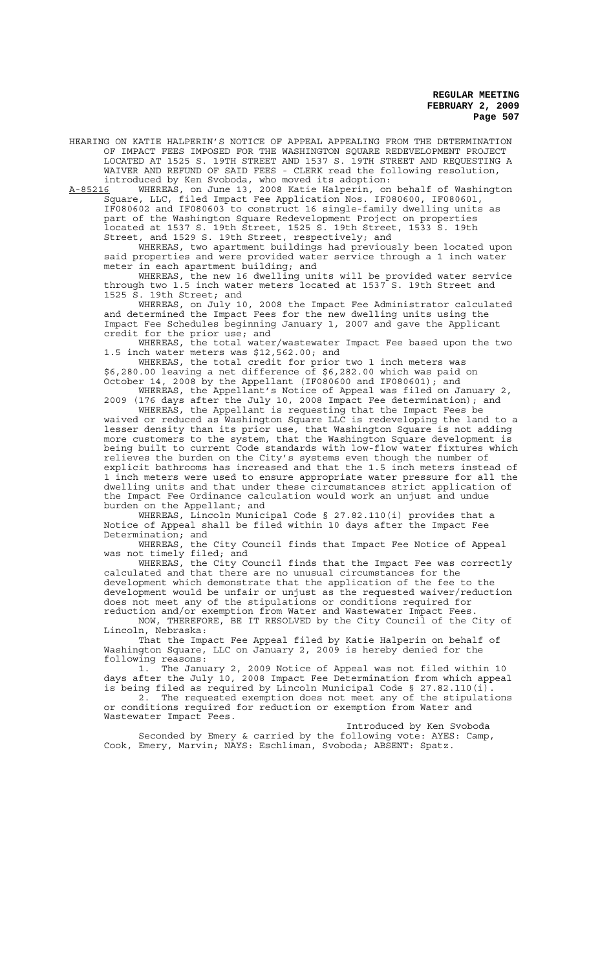HEARING ON KATIE HALPERIN'S NOTICE OF APPEAL APPEALING FROM THE DETERMINATION OF IMPACT FEES IMPOSED FOR THE WASHINGTON SQUARE REDEVELOPMENT PROJECT LOCATED AT 1525 S. 19TH STREET AND 1537 S. 19TH STREET AND REQUESTING A WAIVER AND REFUND OF SAID FEES - CLERK read the following resolution, introduced by Ken Svoboda, who moved its adoption:<br>A-85216 WHEREAS, on June 13, 2008 Katie Halperin, on

A-85216 MHEREAS, on June 13, 2008 Katie Halperin, on behalf of Washington Square, LLC, filed Impact Fee Application Nos. IF080600, IF080601, IF080602 and IF080603 to construct 16 single-family dwelling units as part of the Washington Square Redevelopment Project on properties located at 1537 S. 19th Street, 1525 S. 19th Street, 1533 S. 19th Street, and 1529 S. 19th Street, respectively; and

WHEREAS, two apartment buildings had previously been located upon said properties and were provided water service through a 1 inch water meter in each apartment building; and

WHEREAS, the new 16 dwelling units will be provided water service through two 1.5 inch water meters located at 1537 S. 19th Street and 1525 S. 19th Street; and

WHEREAS, on July 10, 2008 the Impact Fee Administrator calculated and determined the Impact Fees for the new dwelling units using the Impact Fee Schedules beginning January 1, 2007 and gave the Applicant credit for the prior use; and

WHEREAS, the total water/wastewater Impact Fee based upon the two 1.5 inch water meters was \$12,562.00; and

WHEREAS, the total credit for prior two 1 inch meters was \$6,280.00 leaving a net difference of \$6,282.00 which was paid on October 14, 2008 by the Appellant (IF080600 and IF080601); and

WHEREAS, the Appellant's Notice of Appeal was filed on January 2, 2009 (176 days after the July 10, 2008 Impact Fee determination); and

WHEREAS, the Appellant is requesting that the Impact Fees be waived or reduced as Washington Square LLC is redeveloping the land to a lesser density than its prior use, that Washington Square is not adding more customers to the system, that the Washington Square development is being built to current Code standards with low-flow water fixtures which relieves the burden on the City's systems even though the number of explicit bathrooms has increased and that the 1.5 inch meters instead of 1 inch meters were used to ensure appropriate water pressure for all the dwelling units and that under these circumstances strict application of the Impact Fee Ordinance calculation would work an unjust and undue burden on the Appellant; and

WHEREAS, Lincoln Municipal Code § 27.82.110(i) provides that a Notice of Appeal shall be filed within 10 days after the Impact Fee Determination; and

WHEREAS, the City Council finds that Impact Fee Notice of Appeal was not timely filed; and

WHEREAS, the City Council finds that the Impact Fee was correctly calculated and that there are no unusual circumstances for the development which demonstrate that the application of the fee to the development would be unfair or unjust as the requested waiver/reduction does not meet any of the stipulations or conditions required for reduction and/or exemption from Water and Wastewater Impact Fees.

NOW, THEREFORE, BE IT RESOLVED by the City Council of the City of Lincoln, Nebraska:

That the Impact Fee Appeal filed by Katie Halperin on behalf of Washington Square, LLC on January 2, 2009 is hereby denied for the following reasons:

1. The January 2, 2009 Notice of Appeal was not filed within 10 days after the July 10, 2008 Impact Fee Determination from which appeal is being filed as required by Lincoln Municipal Code § 27.82.110(i).

2. The requested exemption does not meet any of the stipulations or conditions required for reduction or exemption from Water and Wastewater Impact Fees.

Introduced by Ken Svoboda Seconded by Emery & carried by the following vote: AYES: Camp, Cook, Emery, Marvin; NAYS: Eschliman, Svoboda; ABSENT: Spatz.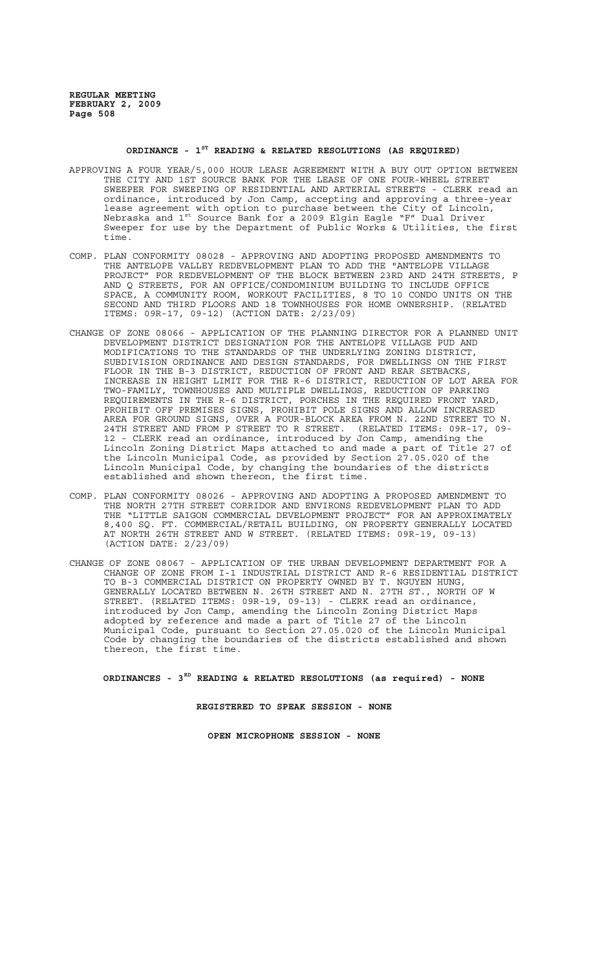# **ORDINANCE - 1ST READING & RELATED RESOLUTIONS (AS REQUIRED)**

- APPROVING A FOUR YEAR/5,000 HOUR LEASE AGREEMENT WITH A BUY OUT OPTION BETWEEN THE CITY AND 1ST SOURCE BANK FOR THE LEASE OF ONE FOUR-WHEEL STREET SWEEPER FOR SWEEPING OF RESIDENTIAL AND ARTERIAL STREETS - CLERK read an ordinance, introduced by Jon Camp, accepting and approving a three-year lease agreement with option to purchase between the City of Lincoln, Nebraska and 1st Source Bank for a 2009 Elgin Eagle "F" Dual Driver Sweeper for use by the Department of Public Works & Utilities, the first time.
- COMP. PLAN CONFORMITY 08028 APPROVING AND ADOPTING PROPOSED AMENDMENTS TO THE ANTELOPE VALLEY REDEVELOPMENT PLAN TO ADD THE "ANTELOPE VILLAGE PROJECT" FOR REDEVELOPMENT OF THE BLOCK BETWEEN 23RD AND 24TH STREETS, P AND Q STREETS, FOR AN OFFICE/CONDOMINIUM BUILDING TO INCLUDE OFFICE SPACE, A COMMUNITY ROOM, WORKOUT FACILITIES, 8 TO 10 CONDO UNITS ON THE SECOND AND THIRD FLOORS AND 18 TOWNHOUSES FOR HOME OWNERSHIP. (RELATED ITEMS: 09R-17, 09-12) (ACTION DATE: 2/23/09)
- CHANGE OF ZONE 08066 APPLICATION OF THE PLANNING DIRECTOR FOR A PLANNED UNIT DEVELOPMENT DISTRICT DESIGNATION FOR THE ANTELOPE VILLAGE PUD AND MODIFICATIONS TO THE STANDARDS OF THE UNDERLYING ZONING DISTRICT, SUBDIVISION ORDINANCE AND DESIGN STANDARDS, FOR DWELLINGS ON THE FIRST FLOOR IN THE B-3 DISTRICT, REDUCTION OF FRONT AND REAR SETBACKS,<br>INCREASE IN HEIGHT LIMIT FOR THE R-6 DISTRICT, REDUCTION OF LOT AREA FOR INCREASE IN HEIGHT LIMIT FOR THE R-6 DISTRICT, REDUCTION OF LOT AREA FOR TWO-FAMILY, TOWNHOUSES AND MULTIPLE DWELLINGS, REDUCTION OF PARKING REQUIREMENTS IN THE R-6 DISTRICT, PORCHES IN THE REQUIRED FRONT YARD, PROHIBIT OFF PREMISES SIGNS, PROHIBIT POLE SIGNS AND ALLOW INCREASED AREA FOR GROUND SIGNS, OVER A FOUR-BLOCK AREA FROM N. 22ND STREET TO N. 24TH STREET AND FROM P STREET TO R STREET. (RELATED ITEMS: 09R-17, 09- 12 - CLERK read an ordinance, introduced by Jon Camp, amending the Lincoln Zoning District Maps attached to and made a part of Title 27 of the Lincoln Municipal Code, as provided by Section 27.05.020 of the Lincoln Municipal Code, by changing the boundaries of the districts established and shown thereon, the first time.
- COMP. PLAN CONFORMITY 08026 APPROVING AND ADOPTING A PROPOSED AMENDMENT TO THE NORTH 27TH STREET CORRIDOR AND ENVIRONS REDEVELOPMENT PLAN TO ADD THE "LITTLE SAIGON COMMERCIAL DEVELOPMENT PROJECT" FOR AN APPROXIMATELY 8,400 SQ. FT. COMMERCIAL/RETAIL BUILDING, ON PROPERTY GENERALLY LOCATED AT NORTH 26TH STREET AND W STREET. (RELATED ITEMS: 09R-19, 09-13) (ACTION DATE: 2/23/09)
- CHANGE OF ZONE 08067 APPLICATION OF THE URBAN DEVELOPMENT DEPARTMENT FOR A CHANGE OF ZONE FROM I-1 INDUSTRIAL DISTRICT AND R-6 RESIDENTIAL DISTRICT TO B-3 COMMERCIAL DISTRICT ON PROPERTY OWNED BY T. NGUYEN HUNG, GENERALLY LOCATED BETWEEN N. 26TH STREET AND N. 27TH ST., NORTH OF W STREET. (RELATED ITEMS: 09R-19, 09-13) - CLERK read an ordinance, introduced by Jon Camp, amending the Lincoln Zoning District Maps adopted by reference and made a part of Title 27 of the Lincoln Municipal Code, pursuant to Section 27.05.020 of the Lincoln Municipal Code by changing the boundaries of the districts established and shown thereon, the first time.

**ORDINANCES - 3RD READING & RELATED RESOLUTIONS (as required) - NONE**

**REGISTERED TO SPEAK SESSION - NONE**

**OPEN MICROPHONE SESSION - NONE**